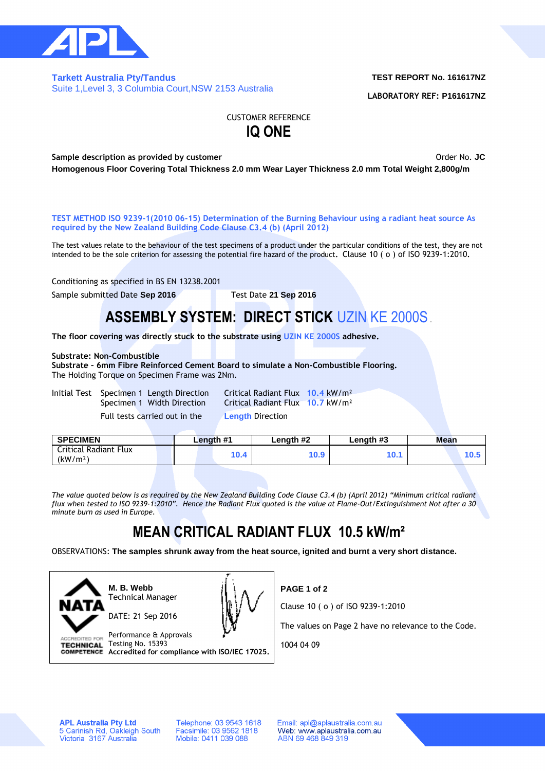

### **Tarkett Australia Pty/Tandus**  Suite 1,Level 3, 3 Columbia Court,NSW 2153 Australia

## **TEST REPORT No. 161617NZ**

**LABORATORY REF: P161617NZ**

CUSTOMER REFERENCE **IQ ONE**

**Sample description as provided by customer COVID-1000 COVID-1000 COVID-1000 COVID-1000 COVID-1000 COVID-1000 COVID-1000 COVID-1000 COVID-1000 COVID-1000 COVID-1000 COVID-1000 COVID-1000 COVID-1000 COVID-1000 COVID-1000 Homogenous Floor Covering Total Thickness 2.0 mm Wear Layer Thickness 2.0 mm Total Weight 2,800g/m**

**TEST METHOD ISO 9239-1(2010 06-15) Determination of the Burning Behaviour using a radiant heat source As required by the New Zealand Building Code Clause C3.4 (b) (April 2012)**

The test values relate to the behaviour of the test specimens of a product under the particular conditions of the test, they are not intended to be the sole criterion for assessing the potential fire hazard of the product**.** Clause 10 ( o ) of ISO 9239-1:2010**.**

Conditioning as specified in BS EN 13238.2001

Sample submitted Date **Sep 2016** Test Date **21 Sep 2016**

# **ASSEMBLY SYSTEM: DIRECT STICK** UZIN KE 2000S.

**The floor covering was directly stuck to the substrate using UZIN KE 2000S adhesive.**

### **Substrate: Non-Combustible**

**Substrate – 6mm Fibre Reinforced Cement Board to simulate a Non-Combustible Flooring.** The Holding Torque on Specimen Frame was 2Nm.

|  | Initial Test Specimen 1 Length Direction |
|--|------------------------------------------|
|  | Specimen 1 Width Direction               |
|  | Euli toota carriad out in the            |

Critical Radiant Flux 10.4 kW/m<sup>2</sup> **Critical Radiant Flux 10.7 kW/m<sup>2</sup>** 

|  |  | Full tests carried out in the |
|--|--|-------------------------------|
|--|--|-------------------------------|

**Length Direction** 

| <b>SPECIMEN</b>                               |  | Length #1 |  |      | Length #2 | Length #3 | Mean |  |  |
|-----------------------------------------------|--|-----------|--|------|-----------|-----------|------|--|--|
| Critical Radiant Flux<br>(kW/m <sup>2</sup> ) |  |           |  | 10.4 | 0.9       | 10.1      |      |  |  |
|                                               |  |           |  |      |           |           |      |  |  |

*The value quoted below is as required by the New Zealand Building Code Clause C3.4 (b) (April 2012) "Minimum critical radiant flux when tested to ISO 9239-1:2010". Hence the Radiant Flux quoted is the value at Flame-Out/Extinguishment Not after a 30 minute burn as used in Europe.*

# **MEAN CRITICAL RADIANT FLUX 10.5 kW/m²**

OBSERVATIONS: **The samples shrunk away from the heat source, ignited and burnt a very short distance.**



**M. B. Webb** Technical Manager



Performance & Approvals ACCREDITED FOR TECHNICAL Testing No. 15393 **Accredited for compliance with ISO/IEC 17025.**

Clause 10 ( o ) of ISO 9239-1:2010

**PAGE 1 of 2**

The values on Page 2 have no relevance to the Code.

1004 04 09

**APL Australia Pty Ltd** 5 Carinish Rd, Oakleigh South<br>Victoria 3167 Australia

Telephone: 03 9543 1618 Facsimile: 03 9562 1818<br>Mobile: 0411 039 088

Email: apl@aplaustralia.com.au Web: www.aplaustralia.com.au ABN 69 468 849 319